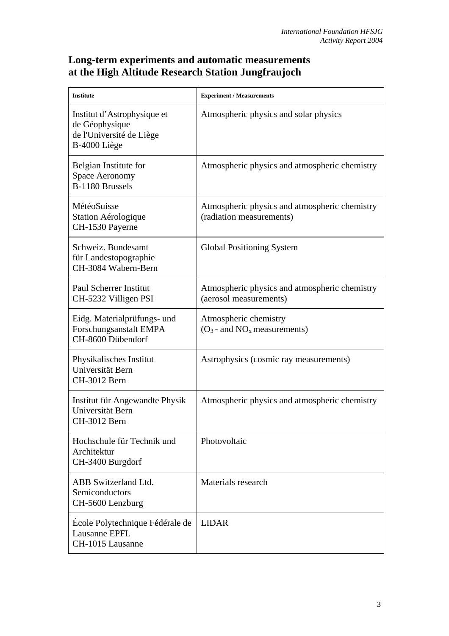## **Long-term experiments and automatic measurements at the High Altitude Research Station Jungfraujoch**

| <b>Institute</b>                                                                          | <b>Experiment / Measurements</b>                                          |
|-------------------------------------------------------------------------------------------|---------------------------------------------------------------------------|
| Institut d'Astrophysique et<br>de Géophysique<br>de l'Université de Liège<br>B-4000 Liège | Atmospheric physics and solar physics                                     |
| Belgian Institute for<br><b>Space Aeronomy</b><br>B-1180 Brussels                         | Atmospheric physics and atmospheric chemistry                             |
| MétéoSuisse<br>Station Aérologique<br>CH-1530 Payerne                                     | Atmospheric physics and atmospheric chemistry<br>(radiation measurements) |
| Schweiz. Bundesamt<br>für Landestopographie<br>CH-3084 Wabern-Bern                        | Global Positioning System                                                 |
| <b>Paul Scherrer Institut</b><br>CH-5232 Villigen PSI                                     | Atmospheric physics and atmospheric chemistry<br>(aerosol measurements)   |
| Eidg. Materialprüfungs- und<br>Forschungsanstalt EMPA<br>CH-8600 Dübendorf                | Atmospheric chemistry<br>$(O_3$ - and $NO_x$ measurements)                |
| Physikalisches Institut<br>Universität Bern<br>CH-3012 Bern                               | Astrophysics (cosmic ray measurements)                                    |
| Institut für Angewandte Physik<br>Universität Bern<br>CH-3012 Bern                        | Atmospheric physics and atmospheric chemistry                             |
| Hochschule für Technik und<br>Architektur<br>CH-3400 Burgdorf                             | Photovoltaic                                                              |
| ABB Switzerland Ltd.<br>Semiconductors<br>CH-5600 Lenzburg                                | Materials research                                                        |
| École Polytechnique Fédérale de<br>Lausanne EPFL<br>CH-1015 Lausanne                      | <b>LIDAR</b>                                                              |